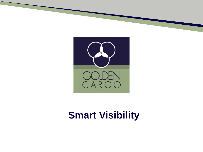

# **Smart Visibility**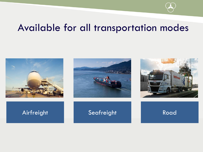## Available for all transportation modes



### Airfreight **Seafreight** Road



![](_page_1_Picture_5.jpeg)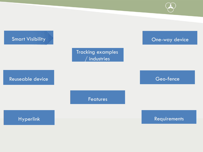![](_page_2_Figure_0.jpeg)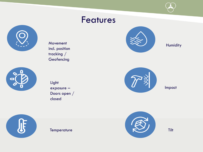### Features

![](_page_3_Picture_1.jpeg)

Movement incl. position tracking / **Geofencing** 

![](_page_3_Picture_3.jpeg)

![](_page_3_Picture_4.jpeg)

**Temperature** 

![](_page_3_Picture_5.jpeg)

Humidity

![](_page_3_Figure_7.jpeg)

Impact

![](_page_3_Picture_9.jpeg)

![](_page_3_Picture_10.jpeg)

Tilt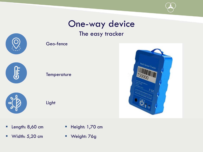# One-way device

### The easy tracker

![](_page_4_Picture_2.jpeg)

| $\sqrt{1}$ |  |
|------------|--|
|            |  |

![](_page_4_Figure_4.jpeg)

Geo-fence

![](_page_4_Picture_5.jpeg)

![](_page_4_Figure_6.jpeg)

![](_page_4_Picture_7.jpeg)

- **E** Length: 8,60 cm
- $\blacksquare$  Width: 5,20 cm
- **Height: 1,70 cm**
- Weight: 76g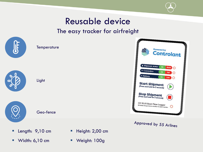![](_page_5_Picture_0.jpeg)

## Reusable device

### The easy tracker for airfreight

![](_page_5_Picture_3.jpeg)

- **E** Length: 9,10 cm
- Width: 6,10 cm
- **E** Height: 2,00 cm
- Weight: 100g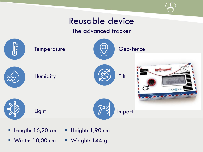![](_page_6_Picture_0.jpeg)

## Reusable device

#### The advanced tracker

![](_page_6_Figure_3.jpeg)

- **E** Length: 16,20 cm
- Width: 10,00 cm
- **E** Height: 1,90 cm
	- Weight: 144 g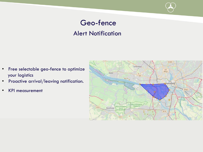### Geo-fence Alert Notification

- Free selectable geo-fence to optimize your logistics
- Proactive arrival/leaving notification.
- KPI measurement

![](_page_7_Figure_4.jpeg)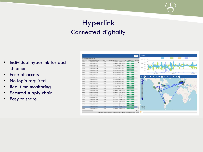### Hyperlink Connected digitally

- Individual hyperlink for each shipment
- Ease of access
- No login required
- Real time monitoring
- Secured supply chain
- Easy to share

|                    | ind date: 03/01/2019 12:00 AM                       |                   |                                                                |                           | <b>Uhack Light</b><br>Istrutation<br><b>Fluencia</b> y |
|--------------------|-----------------------------------------------------|-------------------|----------------------------------------------------------------|---------------------------|--------------------------------------------------------|
|                    |                                                     |                   |                                                                |                           | (31)<br>33333<br>33                                    |
| 325<br><b>AKPE</b> | v Date / Time (GPS) 4 w<br>THERE IS THE 22 YEAR TWO | Speed v<br>14.788 | <b>BUCHICS - 7001123</b><br>w.H<br><b>S. DEPERT A BREAKERS</b> | Battery lovel - Mon-batte | 70                                                     |
| spect              | 10003201023-01-11                                   | Direkt            | 4 Diederra, S Hau Pieda III.                                   | <b>TECH-</b>              | 83<br>23333                                            |
| 3550               | 20/08/2319 00:01:13                                 | <b>SHIVAY</b>     | 4 São Maste, 8 Jula Maste,                                     | <b>TEEM</b>               | 53                                                     |
| seco               | 20/06/2019 01:01:17                                 | <b>DEVIA</b>      | 4 82o Poulo 8 (Us Poulo                                        | <b>TEER</b>               | 49.<br>33<br>10000                                     |
| <b>VERALL</b>      | 30/06/33:00 02:01:25                                | Direits           | 4 São Paulo S jun Paulo.                                       | <b>TOOS</b>               | àà                                                     |
| <b>ALME!</b>       | 20/06/23 18 03:01:29                                | Dirette           | 4 Sep Peaks S vas Peaks                                        | <b>HEM</b>                | $\frac{1}{2}$                                          |
| 3998               | 20/06/2319 04:01:48                                 | <b>ENY/EN</b>     | 4 820 Paulo, 8 (do Paulo                                       | 100%                      | 0.110                                                  |
| seed.              | 20/06/2019 06:01:01                                 | <b>DEVIA</b>      | 4 926 Politi 9 (05 Folds)                                      | tres.                     | Jun 2019<br>Jul 2019<br><b>Max 2016</b>                |
| <b>SEWE</b>        | 2010/2019 06:37:11                                  | Dirity            | 4 São Paulo S Has Paulo                                        | teen.                     |                                                        |
| <b>ASAC</b>        | 20/06/23 18 07:02:17                                | Director          | 4 Sep Packs S Fox Paulo                                        | 100%                      |                                                        |
| Spoce              | 20/06/23 19 08:02 37                                | <b>DUY/O</b>      | 4 820 Paulo, 8 (do Paulo                                       | <b>TEEN</b>               | 융                                                      |
| <b>Second</b>      | 2010/22/19 00:02:43                                 | <b>Skrein</b>     | 4 São Paulo S jua Paula                                        | TECH-                     |                                                        |
| <b>Stad</b>        | 20/06/2219 10:03:03                                 | Direkt            | 4 São Paulo, S jús Paulo,                                      | teen.                     |                                                        |
| <b>ASAC</b>        | 204822112 11.05.00                                  | Dir.m             | 4 SEO MAIO, S (da Maura,                                       | TOPS                      | ë                                                      |
| xeco               | 2006/21/9 12:03:13                                  | <b>ENTITY</b>     | 4 82o Paulo, 8   do Paulo                                      | <b>TECHL</b>              | c                                                      |
| <b>Security</b>    | 2010/2019 12:23:13                                  | Dirvin            | 4 São Paulo S Han Paulo.                                       | <b>TECH-</b>              |                                                        |
| sted               | 20/00/2319 13:23 18                                 | Diriks            | 4 Dieders, S kar Paula D.                                      | TION.                     |                                                        |
| <b>SOCC</b>        | 2010/2319 14:23:33                                  | <b>DAYA's</b>     | 4 Diadonic, S (do Paulo, B.J.                                  | TECH-                     |                                                        |
| <b>xecci</b>       | 20/06/23 19 15:23:37                                | <b>Junity</b>     | 4 0ladama, 9 (06 Paula B.)                                     | <b>TRAS</b>               |                                                        |
| <b>IFFIRE</b>      | 2010/2019 18:20:45                                  | Jurity            | 4 Diedere, S.Hin Paula P.                                      | <b>TECHL</b>              |                                                        |
| <b>ASAU</b>        | 20/06/2319 17:23:47                                 | Direkte           | 4 Diadersi, S Rio Paulo, B.                                    | <b>TEES</b>               | a<br>S                                                 |
| xeco               | 20/06/23 29 18:24:05                                | <b>ENYAY</b>      | 4 Diadoma, 8 (00 Paulo, 8                                      | tres.                     |                                                        |
| veed               | 2010/23:19 10:24:00                                 | <b>Director</b>   | 4 Diaderea, 9 (on Paulo R.                                     | <b>TRES.</b>              |                                                        |
| speci              | 2010/2319 20:21:28                                  | Dirils            | 4 Diedere, S Hzo Paulo II.                                     | tion.                     |                                                        |
| <b>ASNS</b>        | 201002319-2124-32                                   | <b>DRIVIEW</b>    | 4 Unadama, S Hou Made, S                                       | <b>TEEN</b>               |                                                        |
| - 22               | 20/06/23 09:22:24 52                                | <b>LUTAY</b>      | 4 Diasono, 9 Iún Paula 8.                                      | <b>TEERS</b>              | LODG (gr)                                              |
| <b>Vend</b>        | 2100/2219 14:41:12                                  | <b>Strin</b>      | 4 Oladama, S.Hin Paula R.                                      | 37%                       | <b>TOUR</b><br><b>COLLECTION</b>                       |
|                    |                                                     |                   |                                                                |                           |                                                        |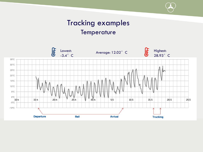### Tracking examples **Temperature**

![](_page_9_Figure_1.jpeg)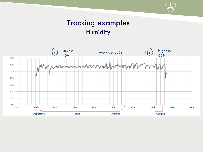### Tracking examples Humidity

![](_page_10_Figure_1.jpeg)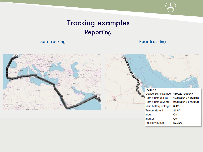### Tracking examples Reporting

#### Sea tracking **Roadtracking Roadtracking**

![](_page_11_Figure_3.jpeg)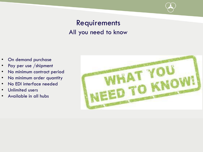### Requirements All you need to know

- On demand purchase
- Pay per use /shipment
- No minimum contract period
- No minimum order quantity
- No EDI interface needed
- Unlimited users
- Available in all hubs

![](_page_12_Picture_8.jpeg)